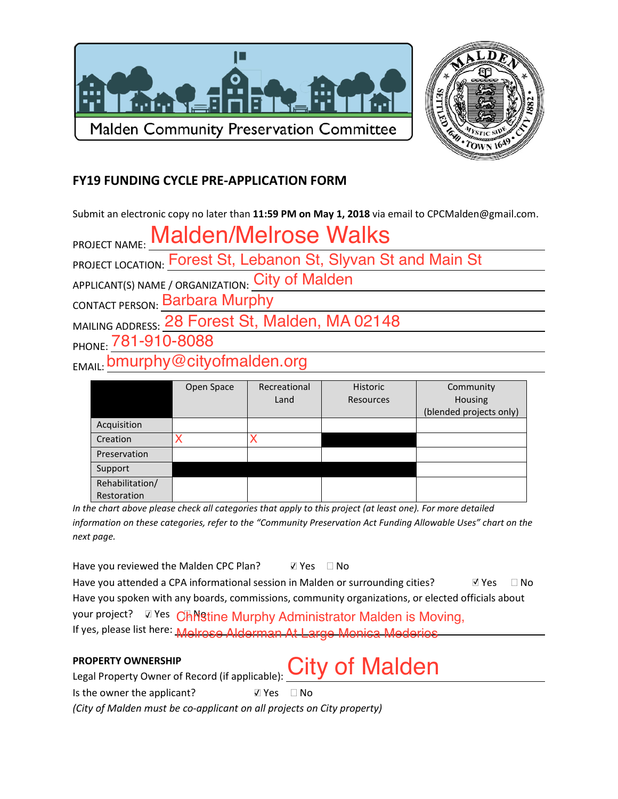



# **FY19 FUNDING CYCLE PRE-APPLICATION FORM**

Submit an electronic copy no later than 11:59 PM on May 1, 2018 via email to CPCMalden@gmail.com.

PROJECT NAME: Malden/Melrose Walks<br>PROJECT LOCATION: Forest St, Lebanon St, Slyvan St and Main St

APPLICANT(S) NAME / ORGANIZATION: City of Malden

CONTACT PERSON: Barbara Murphy

MAILING ADDRESS: 28 Forest St, Malden, MA 02148

PHONE: 781-910-8088

EMAIL: bmurphy@cityofmalden.org

|                 | Open Space | Recreational | <b>Historic</b> | Community               |
|-----------------|------------|--------------|-----------------|-------------------------|
|                 |            | Land         | Resources       | Housing                 |
|                 |            |              |                 | (blended projects only) |
|                 |            |              |                 |                         |
| Acquisition     |            |              |                 |                         |
| Creation        |            |              |                 |                         |
| Preservation    |            |              |                 |                         |
| Support         |            |              |                 |                         |
| Rehabilitation/ |            |              |                 |                         |
| Restoration     |            |              |                 |                         |

In the chart above please check all categories that apply to this project (at least one). For more detailed information on these categories, refer to the "Community Preservation Act Funding Allowable Uses" chart on the next page.

Have you reviewed the Malden CPC Plan? V Yes □ No

Have you attended a CPA informational session in Malden or surrounding cities?  $\nabla$  Yes  $\Box$  No Have you spoken with any boards, commissions, community organizations, or elected officials about your project? Z Yes Chillstine Murphy Administrator Malden is Moving, If yes, please list here: Melrose Alderman At Large Monica Mederios

**City of Malden** 

## **PROPERTY OWNERSHIP**

Legal Property Owner of Record (if applicable):

Is the owner the applicant? V Yes □ No

(City of Malden must be co-applicant on all projects on City property)